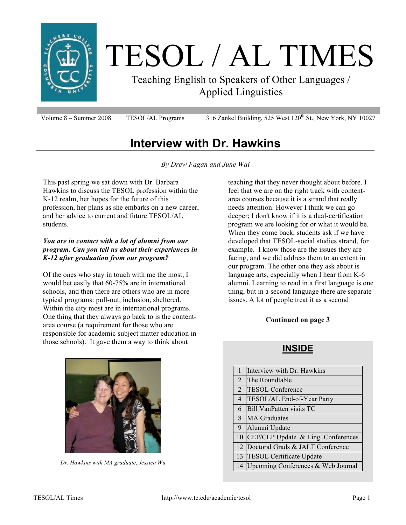

# TESOL / AL TIMES

Teaching English to Speakers of Other Languages / Applied Linguistics

Volume 8 – Summer 2008 TESOL/AL Programs  $316$  Zankel Building, 525 West 120<sup>th</sup> St., New York, NY 10027

# **Interview with Dr. Hawkins**

*By Drew Fagan and June Wai*

This past spring we sat down with Dr. Barbara Hawkins to discuss the TESOL profession within the K-12 realm, her hopes for the future of this profession, her plans as she embarks on a new career, and her advice to current and future TESOL/AL students.

#### *You are in contact with a lot of alumni from our program. Can you tell us about their experiences in K-12 after graduation from our program?*

Of the ones who stay in touch with me the most, I would bet easily that 60-75% are in international schools, and then there are others who are in more typical programs: pull-out, inclusion, sheltered. Within the city most are in international programs. One thing that they always go back to is the contentarea course (a requirement for those who are responsible for academic subject matter education in those schools). It gave them a way to think about

teaching that they never thought about before. I feel that we are on the right track with contentarea courses because it is a strand that really needs attention. However I think we can go deeper; I don't know if it is a dual-certification program we are looking for or what it would be. When they come back, students ask if we have developed that TESOL-social studies strand, for example. I know those are the issues they are facing, and we did address them to an extent in our program. The other one they ask about is language arts, especially when I hear from K-6 alumni. Learning to read in a first language is one thing, but in a second language there are separate issues. A lot of people treat it as a second

#### **Continued on page 3**

### **INSIDE**



*Dr. Hawkins with MA graduate, Jessica Wu*

| $\mathbf{1}$   | Interview with Dr. Hawkins         |
|----------------|------------------------------------|
| $\overline{2}$ | lThe Roundtable                    |
| $\overline{2}$ | <b>TESOL Conference</b>            |
| $\overline{4}$ | TESOL/AL End-of-Year Party         |
| 6              | <b>IBill VanPatten visits TC</b>   |
| 8              | <b>MA</b> Graduates                |
| 9              | Alumni Update                      |
| 10             | CEP/CLP Update & Ling. Conferences |
| 12             | Doctoral Grads & JALT Conference   |
| 13             | <b>TESOL Certificate Update</b>    |
| 14             | Upcoming Conferences & Web Journal |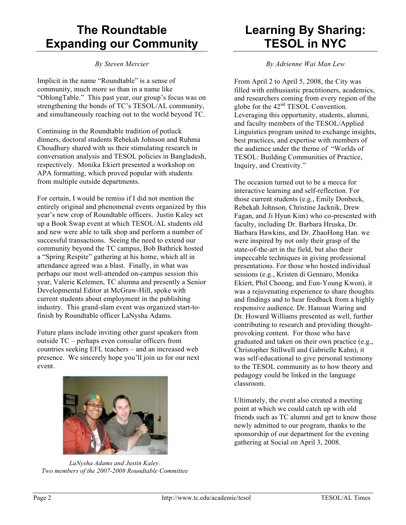# **The Roundtable Expanding our Community**

*By Steven Mercier*

Implicit in the name "Roundtable" is a sense of community, much more so than in a name like "OblongTable." This past year, our group's focus was on strengthening the bonds of TC's TESOL/AL community, and simultaneously reaching out to the world beyond TC.

Continuing in the Roundtable tradition of potluck dinners, doctoral students Rebekah Johnson and Ruhma Choudhury shared with us their stimulating research in conversation analysis and TESOL policies in Bangladesh, respectively. Monika Ekiert presented a workshop on APA formatting, which proved popular with students from multiple outside departments.

For certain, I would be remiss if I did not mention the entirely original and phenomenal events organized by this year's new crop of Roundtable officers. Justin Kaley set up a Book Swap event at which TESOL/AL students old and new were able to talk shop and perform a number of successful transactions. Seeing the need to extend our community beyond the TC campus, Bob Bathrick hosted a "Spring Respite" gathering at his home, which all in attendance agreed was a blast. Finally, in what was perhaps our most well-attended on-campus session this year, Valerie Kelemen, TC alumna and presently a Senior Developmental Editor at McGraw-Hill, spoke with current students about employment in the publishing industry. This grand-slam event was organized start-tofinish by Roundtable officer LaNysha Adams.

Future plans include inviting other guest speakers from outside TC – perhaps even consular officers from countries seeking EFL teachers – and an increased web presence. We sincerely hope you'll join us for our next event.



*LaNysha Adams and Justin Kaley. Two members of the 2007-2008 Roundtable Committee*

# **Learning By Sharing: TESOL in NYC**

*By Adrienne Wai Man Lew*

From April 2 to April 5, 2008, the City was filled with enthusiastic practitioners, academics, and researchers coming from every region of the globe for the 42<sup>nd</sup> TESOL Convention. Leveraging this opportunity, students, alumni, and faculty members of the TESOL/Applied Linguistics program united to exchange insights, best practices, and expertise with members of the audience under the theme of "Worlds of TESOL: Building Communities of Practice, Inquiry, and Creativity."

The occasion turned out to be a mecca for interactive learning and self-reflection. For those current students (e.g., Emily Donbeck, Rebekah Johnson, Christine Jacknik, Drew Fagan, and Ji Hyun Kim) who co-presented with faculty, including Dr. Barbara Hruska, Dr. Barbara Hawkins, and Dr. ZhaoHong Han. we were inspired by not only their grasp of the state-of-the-art in the field, but also their impeccable techniques in giving professional presentations. For those who hosted individual sessions (e.g., Kristen di Gennaro, Monika Ekiert, Phil Choong, and Eun-Young Kwon), it was a rejuvenating experience to share thoughts and findings and to hear feedback from a highly responsive audience. Dr. Hansun Waring and Dr. Howard Williams presented as well, further contributing to research and providing thoughtprovoking content. For those who have graduated and taken on their own practice (e.g., Christopher Stillwell and Gabrielle Kahn), it was self-educational to give personal testimony to the TESOL community as to how theory and pedagogy could be linked in the language classroom.

Ultimately, the event also created a meeting point at which we could catch up with old friends such as TC alumni and get to know those newly admitted to our program, thanks to the sponsorship of our department for the evening gathering at Social on April 3, 2008.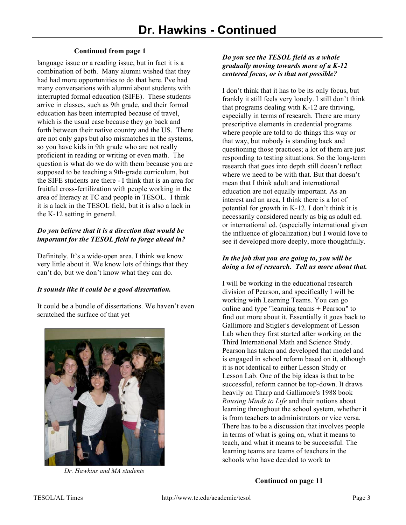#### **Continued from page 1**

language issue or a reading issue, but in fact it is a combination of both. Many alumni wished that they had had more opportunities to do that here. I've had many conversations with alumni about students with interrupted formal education (SIFE). These students arrive in classes, such as 9th grade, and their formal education has been interrupted because of travel, which is the usual case because they go back and forth between their native country and the US. There are not only gaps but also mismatches in the systems, so you have kids in 9th grade who are not really proficient in reading or writing or even math. The question is what do we do with them because you are supposed to be teaching a 9th-grade curriculum, but the SIFE students are there - I think that is an area for fruitful cross-fertilization with people working in the area of literacy at TC and people in TESOL. I think it is a lack in the TESOL field, but it is also a lack in the K-12 setting in general.

#### *Do you believe that it is a direction that would be important for the TESOL field to forge ahead in?*

Definitely. It's a wide-open area. I think we know very little about it. We know lots of things that they can't do, but we don't know what they can do.

#### *It sounds like it could be a good dissertation.*

It could be a bundle of dissertations. We haven't even scratched the surface of that yet



*Dr. Hawkins and MA students*

#### *Do you see the TESOL field as a whole gradually moving towards more of a K-12 centered focus, or is that not possible?*

I don't think that it has to be its only focus, but frankly it still feels very lonely. I still don't think that programs dealing with K-12 are thriving, especially in terms of research. There are many prescriptive elements in credential programs where people are told to do things this way or that way, but nobody is standing back and questioning those practices; a lot of them are just responding to testing situations. So the long-term research that goes into depth still doesn't reflect where we need to be with that. But that doesn't mean that I think adult and international education are not equally important. As an interest and an area, I think there is a lot of potential for growth in K-12. I don't think it is necessarily considered nearly as big as adult ed. or international ed. (especially international given the influence of globalization) but I would love to see it developed more deeply, more thoughtfully.

#### *In the job that you are going to, you will be doing a lot of research. Tell us more about that.*

I will be working in the educational research division of Pearson, and specifically I will be working with Learning Teams. You can go online and type "learning teams + Pearson" to find out more about it. Essentially it goes back to Gallimore and Stigler's development of Lesson Lab when they first started after working on the Third International Math and Science Study. Pearson has taken and developed that model and is engaged in school reform based on it, although it is not identical to either Lesson Study or Lesson Lab. One of the big ideas is that to be successful, reform cannot be top-down. It draws heavily on Tharp and Gallimore's 1988 book *Rousing Minds to Life* and their notions about learning throughout the school system, whether it is from teachers to administrators or vice versa. There has to be a discussion that involves people in terms of what is going on, what it means to teach, and what it means to be successful. The learning teams are teams of teachers in the schools who have decided to work to

#### **Continued on page 11**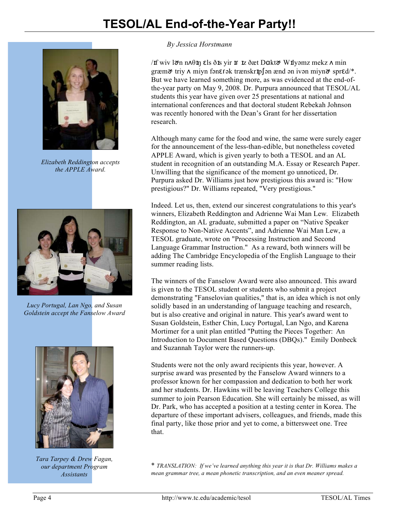

*Elizabeth Reddington accepts the APPLE Award.*



*Lucy Portugal, Lan Ngo, and Susan Goldstein accept the Fanselow Award*



*Tara Tarpey & Drew Fagan, our department Program Assistants*

#### *By Jessica Horstmann*

If wiv lơn n $\Lambda$ θ**i**n **c**ls ðis yir **ir** iz ðæt Dakt $\sigma$  Wilyəmz mekz  $\Lambda$  min  $\gamma$ græm $\gamma$  triy  $\Lambda$  miyn fən $\epsilon$ rək trænskr $\psi$ [ən ænd ən ivən miyn $\gamma$  spr $\epsilon d$ /\*. But we have learned something more, as was evidenced at the end-ofthe-year party on May 9, 2008. Dr. Purpura announced that TESOL/AL students this year have given over 25 presentations at national and international conferences and that doctoral student Rebekah Johnson was recently honored with the Dean's Grant for her dissertation research.

Although many came for the food and wine, the same were surely eager for the announcement of the less-than-edible, but nonetheless coveted APPLE Award, which is given yearly to both a TESOL and an AL student in recognition of an outstanding M.A. Essay or Research Paper. Unwilling that the significance of the moment go unnoticed, Dr. Purpura asked Dr. Williams just how prestigious this award is: "How prestigious?" Dr. Williams repeated, "Very prestigious."

Indeed. Let us, then, extend our sincerest congratulations to this year's winners, Elizabeth Reddington and Adrienne Wai Man Lew*.* Elizabeth Reddington, an AL graduate, submitted a paper on "Native Speaker Response to Non-Native Accents", and Adrienne Wai Man Lew, a TESOL graduate, wrote on "Processing Instruction and Second Language Grammar Instruction." As a reward, both winners will be adding The Cambridge Encyclopedia of the English Language to their summer reading lists.

The winners of the Fanselow Award were also announced. This award is given to the TESOL student or students who submit a project demonstrating "Fanselovian qualities," that is, an idea which is not only solidly based in an understanding of language teaching and research, but is also creative and original in nature. This year's award went to Susan Goldstein, Esther Chin, Lucy Portugal, Lan Ngo, and Karena Mortimer for a unit plan entitled "Putting the Pieces Together: An Introduction to Document Based Questions (DBQs)." Emily Donbeck and Suzannah Taylor were the runners-up.

Students were not the only award recipients this year, however. A surprise award was presented by the Fanselow Award winners to a professor known for her compassion and dedication to both her work and her students. Dr. Hawkins will be leaving Teachers College this summer to join Pearson Education. She will certainly be missed, as will Dr. Park, who has accepted a position at a testing center in Korea. The departure of these important advisers, colleagues, and friends, made this final party, like those prior and yet to come, a bittersweet one. Tree that.

\* *TRANSLATION: If we've learned anything this year it is that Dr. Williams makes a mean grammar tree, a mean phonetic transcription, and an even meaner spread.*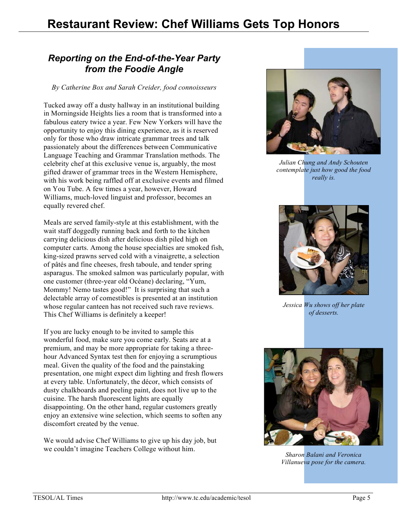## *Reporting on the End-of-the-Year Party from the Foodie Angle*

#### *By Catherine Box and Sarah Creider, food connoisseurs*

Tucked away off a dusty hallway in an institutional building in Morningside Heights lies a room that is transformed into a fabulous eatery twice a year. Few New Yorkers will have the opportunity to enjoy this dining experience, as it is reserved only for those who draw intricate grammar trees and talk passionately about the differences between Communicative Language Teaching and Grammar Translation methods. The celebrity chef at this exclusive venue is, arguably, the most gifted drawer of grammar trees in the Western Hemisphere, with his work being raffled off at exclusive events and filmed on You Tube. A few times a year, however, Howard Williams, much-loved linguist and professor, becomes an equally revered chef.

Meals are served family-style at this establishment, with the wait staff doggedly running back and forth to the kitchen carrying delicious dish after delicious dish piled high on computer carts. Among the house specialties are smoked fish, king-sized prawns served cold with a vinaigrette, a selection of pâtés and fine cheeses, fresh taboule, and tender spring asparagus. The smoked salmon was particularly popular, with one customer (three-year old Océane) declaring, "Yum, Mommy! Nemo tastes good!" It is surprising that such a delectable array of comestibles is presented at an institution whose regular canteen has not received such rave reviews. This Chef Williams is definitely a keeper!

If you are lucky enough to be invited to sample this wonderful food, make sure you come early. Seats are at a premium, and may be more appropriate for taking a threehour Advanced Syntax test then for enjoying a scrumptious meal. Given the quality of the food and the painstaking presentation, one might expect dim lighting and fresh flowers at every table. Unfortunately, the décor, which consists of dusty chalkboards and peeling paint, does not live up to the cuisine. The harsh fluorescent lights are equally disappointing. On the other hand, regular customers greatly enjoy an extensive wine selection, which seems to soften any discomfort created by the venue.

We would advise Chef Williams to give up his day job, but we couldn't imagine Teachers College without him.



*Julian Chung and Andy Schouten contemplate just how good the food really is.*



*Jessica Wu shows off her plate of desserts.*



*Sharon Balani and Veronica Villanueva pose for the camera.*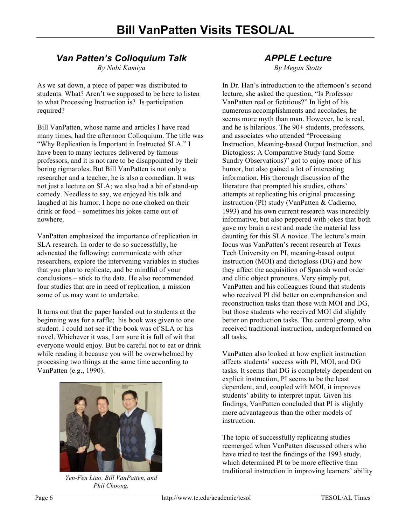## *Van Patten's Colloquium Talk*

*By Nobi Kamiya*

As we sat down, a piece of paper was distributed to students. What? Aren't we supposed to be here to listen to what Processing Instruction is? Is participation required?

Bill VanPatten, whose name and articles I have read many times, had the afternoon Colloquium. The title was "Why Replication is Important in Instructed SLA." I have been to many lectures delivered by famous professors, and it is not rare to be disappointed by their boring rigmaroles. But Bill VanPatten is not only a researcher and a teacher, he is also a comedian. It was not just a lecture on SLA; we also had a bit of stand-up comedy. Needless to say, we enjoyed his talk and laughed at his humor. I hope no one choked on their drink or food – sometimes his jokes came out of nowhere.

VanPatten emphasized the importance of replication in SLA research. In order to do so successfully, he advocated the following: communicate with other researchers, explore the intervening variables in studies that you plan to replicate, and be mindful of your conclusions – stick to the data. He also recommended four studies that are in need of replication, a mission some of us may want to undertake.

It turns out that the paper handed out to students at the beginning was for a raffle; his book was given to one student. I could not see if the book was of SLA or his novel. Whichever it was, I am sure it is full of wit that everyone would enjoy. But be careful not to eat or drink while reading it because you will be overwhelmed by processing two things at the same time according to VanPatten (e.g., 1990).



*Yen-Fen Liao, Bill VanPatten, and Phil Choong.*

#### *APPLE Lecture By Megan Stotts*

In Dr. Han's introduction to the afternoon's second lecture, she asked the question, "Is Professor VanPatten real or fictitious?" In light of his numerous accomplishments and accolades, he seems more myth than man. However, he is real, and he is hilarious. The 90+ students, professors, and associates who attended "Processing Instruction, Meaning-based Output Instruction, and Dictogloss: A Comparative Study (and Some Sundry Observations)" got to enjoy more of his humor, but also gained a lot of interesting information. His thorough discussion of the literature that prompted his studies, others' attempts at replicating his original processing instruction (PI) study (VanPatten & Cadierno, 1993) and his own current research was incredibly informative, but also peppered with jokes that both gave my brain a rest and made the material less daunting for this SLA novice. The lecture's main focus was VanPatten's recent research at Texas Tech University on PI, meaning-based output instruction (MOI) and dictogloss (DG) and how they affect the acquisition of Spanish word order and clitic object pronouns. Very simply put, VanPatten and his colleagues found that students who received PI did better on comprehension and reconstruction tasks than those with MOI and DG, but those students who received MOI did slightly better on production tasks. The control group, who received traditional instruction, underperformed on all tasks.

VanPatten also looked at how explicit instruction affects students' success with PI, MOI, and DG tasks. It seems that DG is completely dependent on explicit instruction, PI seems to be the least dependent, and, coupled with MOI, it improves students' ability to interpret input. Given his findings, VanPatten concluded that PI is slightly more advantageous than the other models of **instruction** 

The topic of successfully replicating studies reemerged when VanPatten discussed others who have tried to test the findings of the 1993 study, which determined PI to be more effective than traditional instruction in improving learners' ability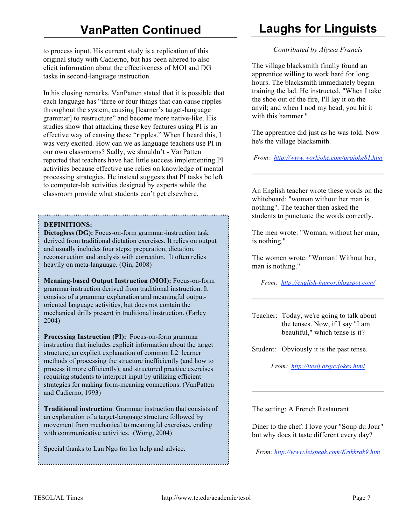to process input. His current study is a replication of this original study with Cadierno, but has been altered to also elicit information about the effectiveness of MOI and DG tasks in second-language instruction.

In his closing remarks, VanPatten stated that it is possible that each language has "three or four things that can cause ripples throughout the system, causing [learner's target-language grammar] to restructure" and become more native-like. His studies show that attacking these key features using PI is an effective way of causing these "ripples." When I heard this, I was very excited. How can we as language teachers use PI in our own classrooms? Sadly, we shouldn't - VanPatten reported that teachers have had little success implementing PI activities because effective use relies on knowledge of mental processing strategies. He instead suggests that PI tasks be left to computer-lab activities designed by experts while the classroom provide what students can't get elsewhere.

#### **DEFINITIONS:**

**Dictogloss (DG):** Focus-on-form grammar-instruction task derived from traditional dictation exercises. It relies on output and usually includes four steps: preparation, dictation, reconstruction and analysis with correction. It often relies heavily on meta-language. (Qin, 2008)

**Meaning-based Output Instruction (MOI):** Focus-on-form grammar instruction derived from traditional instruction. It consists of a grammar explanation and meaningful outputoriented language activities, but does not contain the mechanical drills present in traditional instruction. (Farley 2004)

**Processing Instruction (PI):** Focus-on-form grammar instruction that includes explicit information about the target structure, an explicit explanation of common L2 learner methods of processing the structure inefficiently (and how to process it more efficiently), and structured practice exercises requiring students to interpret input by utilizing efficient strategies for making form-meaning connections. (VanPatten and Cadierno, 1993)

**Traditional instruction**: Grammar instruction that consists of an explanation of a target-language structure followed by movement from mechanical to meaningful exercises, ending with communicative activities. (Wong, 2004)

Special thanks to Lan Ngo for her help and advice.

# **Laughs for Linguists**

#### *Contributed by Alyssa Francis*

The village blacksmith finally found an apprentice willing to work hard for long hours. The blacksmith immediately began training the lad. He instructed, "When I take the shoe out of the fire, I'll lay it on the anvil; and when I nod my head, you hit it with this hammer."

The apprentice did just as he was told. Now he's the village blacksmith.

*From: http://www.workjoke.com/projoke81.htm*

An English teacher wrote these words on the whiteboard: "woman without her man is nothing". The teacher then asked the students to punctuate the words correctly.

The men wrote: "Woman, without her man, is nothing."

The women wrote: "Woman! Without her, man is nothing."

*From: http://english-humor.blogspot.com/*

Teacher: Today, we're going to talk about the tenses. Now, if I say "I am beautiful," which tense is it?

Student: Obviously it is the past tense.

*From: http://iteslj.org/c/jokes.html*

The setting: A French Restaurant

Diner to the chef: I love your "Soup du Jour" but why does it taste different every day?

*From: http://www.letspeak.com/Krikkrak9.htm*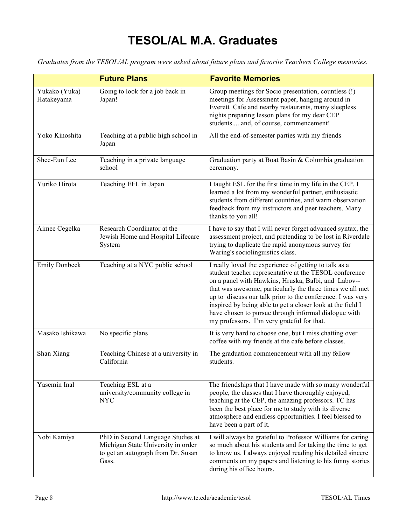*Graduates from the TESOL/AL program were asked about future plans and favorite Teachers College memories.*

|                             | <b>Future Plans</b>                                                                                                    | <b>Favorite Memories</b>                                                                                                                                                                                                                                                                                                                                                                                                                                              |  |  |  |
|-----------------------------|------------------------------------------------------------------------------------------------------------------------|-----------------------------------------------------------------------------------------------------------------------------------------------------------------------------------------------------------------------------------------------------------------------------------------------------------------------------------------------------------------------------------------------------------------------------------------------------------------------|--|--|--|
| Yukako (Yuka)<br>Hatakeyama | Going to look for a job back in<br>Japan!                                                                              | Group meetings for Socio presentation, countless (!)<br>meetings for Assessment paper, hanging around in<br>Everett Cafe and nearby restaurants, many sleepless<br>nights preparing lesson plans for my dear CEP<br>studentsand, of course, commencement!                                                                                                                                                                                                             |  |  |  |
| Yoko Kinoshita              | Teaching at a public high school in<br>Japan                                                                           | All the end-of-semester parties with my friends                                                                                                                                                                                                                                                                                                                                                                                                                       |  |  |  |
| Shee-Eun Lee                | Teaching in a private language<br>school                                                                               | Graduation party at Boat Basin & Columbia graduation<br>ceremony.                                                                                                                                                                                                                                                                                                                                                                                                     |  |  |  |
| Yuriko Hirota               | Teaching EFL in Japan                                                                                                  | I taught ESL for the first time in my life in the CEP. I<br>learned a lot from my wonderful partner, enthusiastic<br>students from different countries, and warm observation<br>feedback from my instructors and peer teachers. Many<br>thanks to you all!                                                                                                                                                                                                            |  |  |  |
| Aimee Cegelka               | Research Coordinator at the<br>Jewish Home and Hospital Lifecare<br>System                                             | I have to say that I will never forget advanced syntax, the<br>assessment project, and pretending to be lost in Riverdale<br>trying to duplicate the rapid anonymous survey for<br>Waring's sociolinguistics class.                                                                                                                                                                                                                                                   |  |  |  |
| <b>Emily Donbeck</b>        | Teaching at a NYC public school                                                                                        | I really loved the experience of getting to talk as a<br>student teacher representative at the TESOL conference<br>on a panel with Hawkins, Hruska, Balbi, and Labov--<br>that was awesome, particularly the three times we all met<br>up to discuss our talk prior to the conference. I was very<br>inspired by being able to get a closer look at the field I<br>have chosen to pursue through informal dialogue with<br>my professors. I'm very grateful for that. |  |  |  |
| Masako Ishikawa             | No specific plans                                                                                                      | It is very hard to choose one, but I miss chatting over<br>coffee with my friends at the cafe before classes.                                                                                                                                                                                                                                                                                                                                                         |  |  |  |
| Shan Xiang                  | Teaching Chinese at a university in<br>California                                                                      | The graduation commencement with all my fellow<br>students.                                                                                                                                                                                                                                                                                                                                                                                                           |  |  |  |
| Yasemin Inal                | Teaching ESL at a<br>university/community college in<br><b>NYC</b>                                                     | The friendships that I have made with so many wonderful<br>people, the classes that I have thoroughly enjoyed,<br>teaching at the CEP, the amazing professors. TC has<br>been the best place for me to study with its diverse<br>atmosphere and endless opportunities. I feel blessed to<br>have been a part of it.                                                                                                                                                   |  |  |  |
| Nobi Kamiya                 | PhD in Second Language Studies at<br>Michigan State University in order<br>to get an autograph from Dr. Susan<br>Gass. | I will always be grateful to Professor Williams for caring<br>so much about his students and for taking the time to get<br>to know us. I always enjoyed reading his detailed sincere<br>comments on my papers and listening to his funny stories<br>during his office hours.                                                                                                                                                                                          |  |  |  |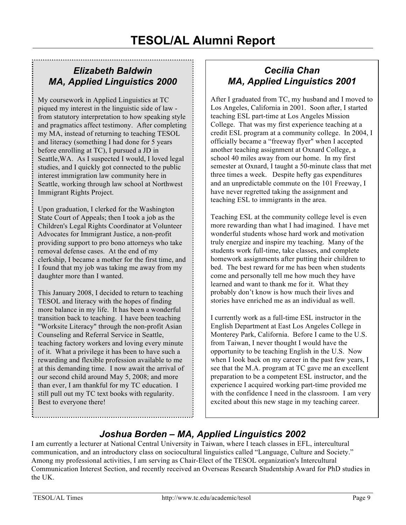## *Elizabeth Baldwin MA, Applied Linguistics 2000*

My coursework in Applied Linguistics at TC piqued my interest in the linguistic side of law from statutory interpretation to how speaking style and pragmatics affect testimony. After completing my MA, instead of returning to teaching TESOL and literacy (something I had done for 5 years before enrolling at TC), I pursued a JD in Seattle,WA. As I suspected I would, I loved legal studies, and I quickly got connected to the public interest immigration law community here in Seattle, working through law school at Northwest Immigrant Rights Project.

Upon graduation, I clerked for the Washington State Court of Appeals; then I took a job as the Children's Legal Rights Coordinator at Volunteer Advocates for Immigrant Justice, a non-profit providing support to pro bono attorneys who take removal defense cases. At the end of my clerkship, I became a mother for the first time, and I found that my job was taking me away from my daughter more than I wanted.

This January 2008, I decided to return to teaching TESOL and literacy with the hopes of finding more balance in my life. It has been a wonderful transition back to teaching. I have been teaching "Worksite Literacy" through the non-profit Asian Counseling and Referral Service in Seattle, teaching factory workers and loving every minute of it. What a privilege it has been to have such a rewarding and flexible profession available to me at this demanding time. I now await the arrival of our second child around May 5, 2008; and more than ever, I am thankful for my TC education. I still pull out my TC text books with regularity. Best to everyone there!

## *Cecilia Chan MA, Applied Linguistics 2001*

After I graduated from TC, my husband and I moved to Los Angeles, California in 2001. Soon after, I started teaching ESL part-time at Los Angeles Mission College. That was my first experience teaching at a credit ESL program at a community college. In 2004, I officially became a "freeway flyer" when I accepted another teaching assignment at Oxnard College, a school 40 miles away from our home. In my first semester at Oxnard, I taught a 50-minute class that met three times a week. Despite hefty gas expenditures and an unpredictable commute on the 101 Freeway, I have never regretted taking the assignment and teaching ESL to immigrants in the area.

Teaching ESL at the community college level is even more rewarding than what I had imagined. I have met wonderful students whose hard work and motivation truly energize and inspire my teaching. Many of the students work full-time, take classes, and complete homework assignments after putting their children to bed. The best reward for me has been when students come and personally tell me how much they have learned and want to thank me for it. What they probably don't know is how much their lives and stories have enriched me as an individual as well.

I currently work as a full-time ESL instructor in the English Department at East Los Angeles College in Monterey Park, California. Before I came to the U.S. from Taiwan, I never thought I would have the opportunity to be teaching English in the U.S. Now when I look back on my career in the past few years, I see that the M.A. program at TC gave me an excellent preparation to be a competent ESL instructor, and the experience I acquired working part-time provided me with the confidence I need in the classroom. I am very excited about this new stage in my teaching career.

## *Joshua Borden – MA, Applied Linguistics 2002*

I am currently a lecturer at National Central University in Taiwan, where I teach classes in EFL, intercultural communication, and an introductory class on sociocultural linguistics called "Language, Culture and Society." Among my professional activities, I am serving as Chair-Elect of the TESOL organization's Intercultural Communication Interest Section, and recently received an Overseas Research Studentship Award for PhD studies in the UK.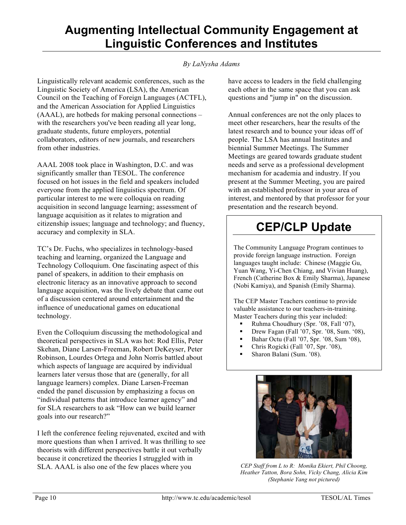## **Augmenting Intellectual Community Engagement at Linguistic Conferences and Institutes**

#### *By LaNysha Adams*

Linguistically relevant academic conferences, such as the Linguistic Society of America (LSA), the American Council on the Teaching of Foreign Languages (ACTFL), and the American Association for Applied Linguistics (AAAL), are hotbeds for making personal connections – with the researchers you've been reading all year long, graduate students, future employers, potential collaborators, editors of new journals, and researchers from other industries.

AAAL 2008 took place in Washington, D.C. and was significantly smaller than TESOL. The conference focused on hot issues in the field and speakers included everyone from the applied linguistics spectrum. Of particular interest to me were colloquia on reading acquisition in second language learning; assessment of language acquisition as it relates to migration and citizenship issues; language and technology; and fluency, accuracy and complexity in SLA.

TC's Dr. Fuchs, who specializes in technology-based teaching and learning, organized the Language and Technology Colloquium. One fascinating aspect of this panel of speakers, in addition to their emphasis on electronic literacy as an innovative approach to second language acquisition, was the lively debate that came out of a discussion centered around entertainment and the influence of uneducational games on educational technology.

Even the Colloquium discussing the methodological and theoretical perspectives in SLA was hot: Rod Ellis, Peter Skehan, Diane Larsen-Freeman, Robert DeKeyser, Peter Robinson, Lourdes Ortega and John Norris battled about which aspects of language are acquired by individual learners later versus those that are (generally, for all language learners) complex. Diane Larsen-Freeman ended the panel discussion by emphasizing a focus on "individual patterns that introduce learner agency" and for SLA researchers to ask "How can we build learner goals into our research?"

I left the conference feeling rejuvenated, excited and with more questions than when I arrived. It was thrilling to see theorists with different perspectives battle it out verbally because it concretized the theories I struggled with in SLA. AAAL is also one of the few places where you

have access to leaders in the field challenging each other in the same space that you can ask questions and "jump in" on the discussion.

Annual conferences are not the only places to meet other researchers, hear the results of the latest research and to bounce your ideas off of people. The LSA has annual Institutes and biennial Summer Meetings. The Summer Meetings are geared towards graduate student needs and serve as a professional development mechanism for academia and industry. If you present at the Summer Meeting, you are paired with an established professor in your area of interest, and mentored by that professor for your presentation and the research beyond.

# **CEP/CLP Update**

The Community Language Program continues to provide foreign language instruction. Foreign languages taught include: Chinese (Maggie Gu, Yuan Wang, Yi-Chen Chiang, and Vivian Huang), French (Catherine Box & Emily Sharma), Japanese (Nobi Kamiya), and Spanish (Emily Sharma).

The CEP Master Teachers continue to provide valuable assistance to our teachers-in-training. Master Teachers during this year included:

- Ruhma Choudhury (Spr. '08, Fall '07),
- Drew Fagan (Fall '07, Spr. '08, Sum. '08),
- Bahar Octu (Fall '07, Spr. '08, Sum '08),
- Chris Rogicki (Fall '07, Spr. '08),
- Sharon Balani (Sum. '08).



*CEP Staff from L to R: Monika Ekiert, Phil Choong, Heather Tatton, Bora Sohn, Vicky Chang, Alicia Kim (Stephanie Yang not pictured)*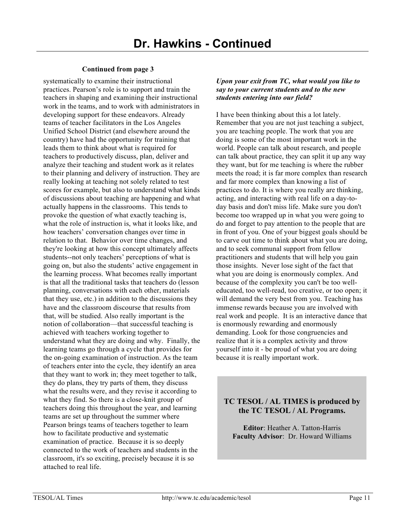#### **Continued from page 3**

systematically to examine their instructional practices. Pearson's role is to support and train the teachers in shaping and examining their instructional work in the teams, and to work with administrators in developing support for these endeavors. Already teams of teacher facilitators in the Los Angeles Unified School District (and elsewhere around the country) have had the opportunity for training that leads them to think about what is required for teachers to productively discuss, plan, deliver and analyze their teaching and student work as it relates to their planning and delivery of instruction. They are really looking at teaching not solely related to test scores for example, but also to understand what kinds of discussions about teaching are happening and what actually happens in the classrooms. This tends to provoke the question of what exactly teaching is, what the role of instruction is, what it looks like, and how teachers' conversation changes over time in relation to that. Behavior over time changes, and they're looking at how this concept ultimately affects students--not only teachers' perceptions of what is going on, but also the students' active engagement in the learning process. What becomes really important is that all the traditional tasks that teachers do (lesson planning, conversations with each other, materials that they use, etc.) in addition to the discussions they have and the classroom discourse that results from that, will be studied. Also really important is the notion of collaboration—that successful teaching is achieved with teachers working together to understand what they are doing and why. Finally, the learning teams go through a cycle that provides for the on-going examination of instruction. As the team of teachers enter into the cycle, they identify an area that they want to work in; they meet together to talk, they do plans, they try parts of them, they discuss what the results were, and they revise it according to what they find. So there is a close-knit group of teachers doing this throughout the year, and learning teams are set up throughout the summer where Pearson brings teams of teachers together to learn how to facilitate productive and systematic examination of practice. Because it is so deeply connected to the work of teachers and students in the classroom, it's so exciting, precisely because it is so attached to real life.

#### *Upon your exit from TC, what would you like to say to your current students and to the new students entering into our field?*

I have been thinking about this a lot lately. Remember that you are not just teaching a subject, you are teaching people. The work that you are doing is some of the most important work in the world. People can talk about research, and people can talk about practice, they can split it up any way they want, but for me teaching is where the rubber meets the road; it is far more complex than research and far more complex than knowing a list of practices to do. It is where you really are thinking, acting, and interacting with real life on a day-today basis and don't miss life. Make sure you don't become too wrapped up in what you were going to do and forget to pay attention to the people that are in front of you. One of your biggest goals should be to carve out time to think about what you are doing, and to seek communal support from fellow practitioners and students that will help you gain those insights. Never lose sight of the fact that what you are doing is enormously complex. And because of the complexity you can't be too welleducated, too well-read, too creative, or too open; it will demand the very best from you. Teaching has immense rewards because you are involved with real work and people. It is an interactive dance that is enormously rewarding and enormously demanding. Look for those congruencies and realize that it is a complex activity and throw yourself into it - be proud of what you are doing because it is really important work.

#### **TC TESOL / AL TIMES is produced by the TC TESOL / AL Programs.**

**Editor**: Heather A. Tatton-Harris **Faculty Advisor**: Dr. Howard Williams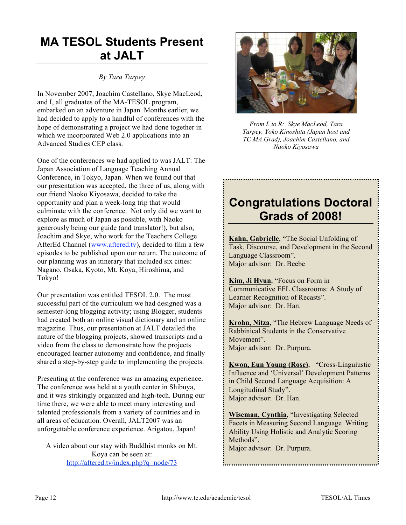# **MA TESOL Students Present at JALT**

#### *By Tara Tarpey*

In November 2007, Joachim Castellano, Skye MacLeod, and I, all graduates of the MA-TESOL program, embarked on an adventure in Japan. Months earlier, we had decided to apply to a handful of conferences with the hope of demonstrating a project we had done together in which we incorporated Web 2.0 applications into an Advanced Studies CEP class.

One of the conferences we had applied to was JALT: The Japan Association of Language Teaching Annual Conference, in Tokyo, Japan. When we found out that our presentation was accepted, the three of us, along with our friend Naoko Kiyosawa, decided to take the opportunity and plan a week-long trip that would culminate with the conference. Not only did we want to explore as much of Japan as possible, with Naoko generously being our guide (and translator!), but also, Joachim and Skye, who work for the Teachers College AfterEd Channel (www.aftered.tv), decided to film a few episodes to be published upon our return. The outcome of our planning was an itinerary that included six cities: Nagano, Osaka, Kyoto, Mt. Koya, Hiroshima, and Tokyo!

Our presentation was entitled TESOL 2.0. The most successful part of the curriculum we had designed was a semester-long blogging activity; using Blogger, students had created both an online visual dictionary and an online magazine. Thus, our presentation at JALT detailed the nature of the blogging projects, showed transcripts and a video from the class to demonstrate how the projects encouraged learner autonomy and confidence, and finally shared a step-by-step guide to implementing the projects.

Presenting at the conference was an amazing experience. The conference was held at a youth center in Shibuya, and it was strikingly organized and high-tech. During our time there, we were able to meet many interesting and talented professionals from a variety of countries and in all areas of education. Overall, JALT2007 was an unforgettable conference experience. Arigatou, Japan!

A video about our stay with Buddhist monks on Mt. Koya can be seen at: http://aftered.tv/index.php?q=node/73



*From L to R: Skye MacLeod, Tara Tarpey, Yoko Kinoshita (Japan host and TC MA Grad), Joachim Castellano, and Naoko Kiyosawa*

# **Congratulations Doctoral Grads of 2008!**

**Kahn, Gabrielle**, "The Social Unfolding of Task, Discourse, and Development in the Second Language Classroom". Major advisor: Dr. Beebe

**Kim, Ji Hyun**, "Focus on Form in Communicative EFL Classrooms: A Study of Learner Recognition of Recasts". Major advisor: Dr. Han.

**Krohn, Nitza**, "The Hebrew Language Needs of Rabbinical Students in the Conservative Movement". Major advisor: Dr. Purpura.

**Kwon, Eun Young (Rose)**, "Cross-Linguiustic Influence and 'Universal' Development Patterns in Child Second Language Acquisition: A Longitudinal Study". Major advisor: Dr. Han.

**Wiseman, Cynthia**, "Investigating Selected Facets in Measuring Second Language Writing Ability Using Holistic and Analytic Scoring Methods". Major advisor: Dr. Purpura.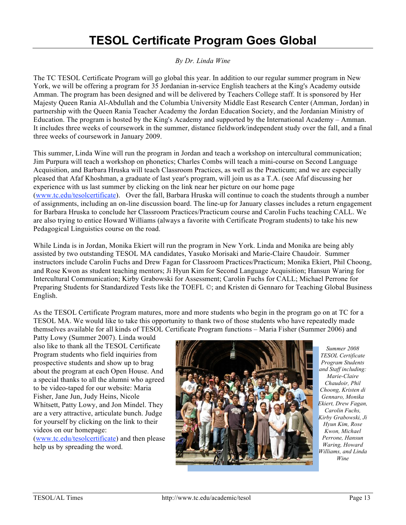# **TESOL Certificate Program Goes Global**

#### *By Dr. Linda Wine*

The TC TESOL Certificate Program will go global this year. In addition to our regular summer program in New York, we will be offering a program for 35 Jordanian in-service English teachers at the King's Academy outside Amman. The program has been designed and will be delivered by Teachers College staff. It is sponsored by Her Majesty Queen Rania Al-Abdullah and the Columbia University Middle East Research Center (Amman, Jordan) in partnership with the Queen Rania Teacher Academy the Jordan Education Society, and the Jordanian Ministry of Education. The program is hosted by the King's Academy and supported by the International Academy – Amman. It includes three weeks of coursework in the summer, distance fieldwork/independent study over the fall, and a final three weeks of coursework in January 2009.

This summer, Linda Wine will run the program in Jordan and teach a workshop on intercultural communication; Jim Purpura will teach a workshop on phonetics; Charles Combs will teach a mini-course on Second Language Acquisition, and Barbara Hruska will teach Classroom Practices, as well as the Practicum; and we are especially pleased that Afaf Khoshman, a graduate of last year's program, will join us as a T.A. (see Afaf discussing her experience with us last summer by clicking on the link near her picture on our home page (www.tc.edu/tesolcertificate). Over the fall, Barbara Hruska will continue to coach the students through a number of assignments, including an on-line discussion board. The line-up for January classes includes a return engagement for Barbara Hruska to conclude her Classroom Practices/Practicum course and Carolin Fuchs teaching CALL. We are also trying to entice Howard Williams (always a favorite with Certificate Program students) to take his new Pedagogical Linguistics course on the road.

While Linda is in Jordan, Monika Ekiert will run the program in New York. Linda and Monika are being ably assisted by two outstanding TESOL MA candidates, Yasuko Morisaki and Marie-Claire Chaudoir. Summer instructors include Carolin Fuchs and Drew Fagan for Classroom Practices/Practicum; Monika Ekiert, Phil Choong, and Rose Kwon as student teaching mentors; Ji Hyun Kim for Second Language Acquisition; Hansun Waring for Intercultural Communication; Kirby Grabowski for Assessment; Carolin Fuchs for CALL; Michael Perrone for Preparing Students for Standardized Tests like the TOEFL ©; and Kristen di Gennaro for Teaching Global Business English.

As the TESOL Certificate Program matures, more and more students who begin in the program go on at TC for a TESOL MA. We would like to take this opportunity to thank two of those students who have repeatedly made themselves available for all kinds of TESOL Certificate Program functions – Maria Fisher (Summer 2006) and

Patty Lowy (Summer 2007). Linda would also like to thank all the TESOL Certificate Program students who field inquiries from prospective students and show up to brag about the program at each Open House. And a special thanks to all the alumni who agreed to be video-taped for our website: Maria Fisher, Jane Jun, Judy Heins, Nicole Whitsett, Patty Lowy, and Jon Mindel. They are a very attractive, articulate bunch. Judge for yourself by clicking on the link to their videos on our homepage: (www.tc.edu/tesolcertificate) and then please

help us by spreading the word.



*Summer 2008 TESOL Certificate Program Students and Staff including: Marie-Claire Chaudoir, Phil Choong, Kristen di Gennaro, Monika Ekiert, Drew Fagan, Carolin Fuchs, Kirby Grabowski, Ji Hyun Kim, Rose Kwon, Michael Perrone, Hansun Waring, Howard Williams, and Linda Wine*